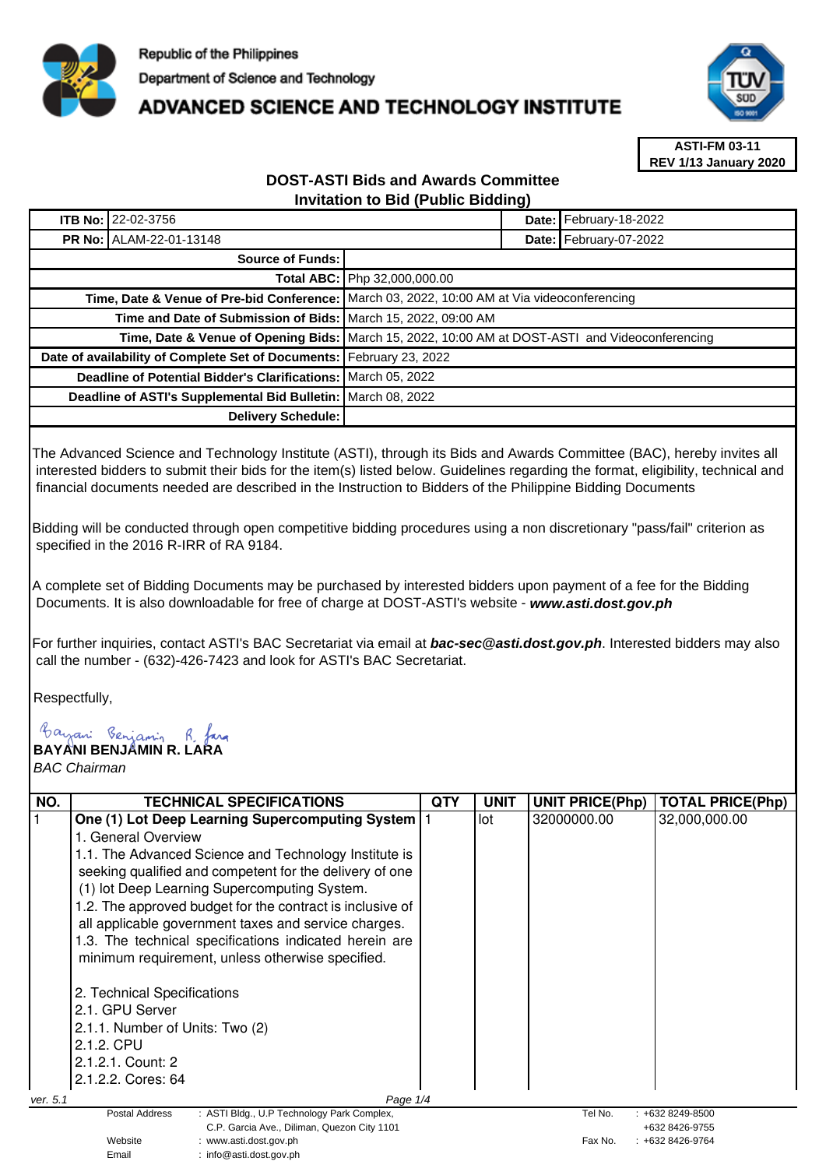

## **ADVANCED SCIENCE AND TECHNOLOGY INSTITUTE**



**ASTI-FM 03-11 REV 1/13 January 2020**

## **DOST-ASTI Bids and Awards Committee Invitation to Bid (Public Bidding)**

| <b>ITB No: 22-02-3756</b>                                                                       |                              | Date: February-18-2022 |
|-------------------------------------------------------------------------------------------------|------------------------------|------------------------|
| <b>PR No: ALAM-22-01-13148</b>                                                                  |                              | Date: February-07-2022 |
| <b>Source of Funds:</b>                                                                         |                              |                        |
|                                                                                                 | Total ABC: Php 32,000,000.00 |                        |
| Time, Date & Venue of Pre-bid Conference: March 03, 2022, 10:00 AM at Via videoconferencing     |                              |                        |
| Time and Date of Submission of Bids: March 15, 2022, 09:00 AM                                   |                              |                        |
| Time, Date & Venue of Opening Bids: March 15, 2022, 10:00 AM at DOST-ASTI and Videoconferencing |                              |                        |
| Date of availability of Complete Set of Documents: February 23, 2022                            |                              |                        |
| Deadline of Potential Bidder's Clarifications: March 05, 2022                                   |                              |                        |
| Deadline of ASTI's Supplemental Bid Bulletin: March 08, 2022                                    |                              |                        |
| Delivery Schedule:                                                                              |                              |                        |

The Advanced Science and Technology Institute (ASTI), through its Bids and Awards Committee (BAC), hereby invites all interested bidders to submit their bids for the item(s) listed below. Guidelines regarding the format, eligibility, technical and financial documents needed are described in the Instruction to Bidders of the Philippine Bidding Documents

Bidding will be conducted through open competitive bidding procedures using a non discretionary "pass/fail" criterion as specified in the 2016 R-IRR of RA 9184.

A complete set of Bidding Documents may be purchased by interested bidders upon payment of a fee for the Bidding Documents. It is also downloadable for free of charge at DOST-ASTI's website - **www.asti.dost.gov.ph**

For further inquiries, contact ASTI's BAC Secretariat via email at **bac-sec@asti.dost.gov.ph**. Interested bidders may also call the number - (632)-426-7423 and look for ASTI's BAC Secretariat.

Respectfully,

**BAYANI BENJAMIN R. LARA** 

Email : info@asti.dost.gov.ph

BAC Chairman

| NO.                  | TECHNICAL SPECIFICATIONS                                            | QTY | <b>UNIT</b> | <b>UNIT PRICE(Php)</b> | <b>TOTAL PRICE(Php)</b> |
|----------------------|---------------------------------------------------------------------|-----|-------------|------------------------|-------------------------|
|                      | One (1) Lot Deep Learning Supercomputing System   1                 |     | lot         | 32000000.00            | 32,000,000.00           |
|                      | 1. General Overview                                                 |     |             |                        |                         |
|                      | 1.1. The Advanced Science and Technology Institute is               |     |             |                        |                         |
|                      | seeking qualified and competent for the delivery of one             |     |             |                        |                         |
|                      | (1) lot Deep Learning Supercomputing System.                        |     |             |                        |                         |
|                      | 1.2. The approved budget for the contract is inclusive of           |     |             |                        |                         |
|                      | all applicable government taxes and service charges.                |     |             |                        |                         |
|                      | 1.3. The technical specifications indicated herein are              |     |             |                        |                         |
|                      | minimum requirement, unless otherwise specified.                    |     |             |                        |                         |
|                      |                                                                     |     |             |                        |                         |
|                      | 2. Technical Specifications                                         |     |             |                        |                         |
|                      | 2.1. GPU Server                                                     |     |             |                        |                         |
|                      | 2.1.1. Number of Units: Two (2)                                     |     |             |                        |                         |
|                      | 2.1.2. CPU                                                          |     |             |                        |                         |
|                      | 2.1.2.1. Count: 2                                                   |     |             |                        |                         |
|                      | 2.1.2.2. Cores: 64                                                  |     |             |                        |                         |
| Page 1/4<br>ver. 5.1 |                                                                     |     |             |                        |                         |
|                      | <b>Postal Address</b><br>: ASTI Bldg., U.P Technology Park Complex, |     |             | Tel No.                | $: +6328249 - 8500$     |
|                      | C.P. Garcia Ave., Diliman, Quezon City 1101                         |     |             |                        | +632 8426-9755          |
|                      | Website<br>www.asti.dost.gov.ph                                     |     |             | Fax No.                | +632 8426-9764          |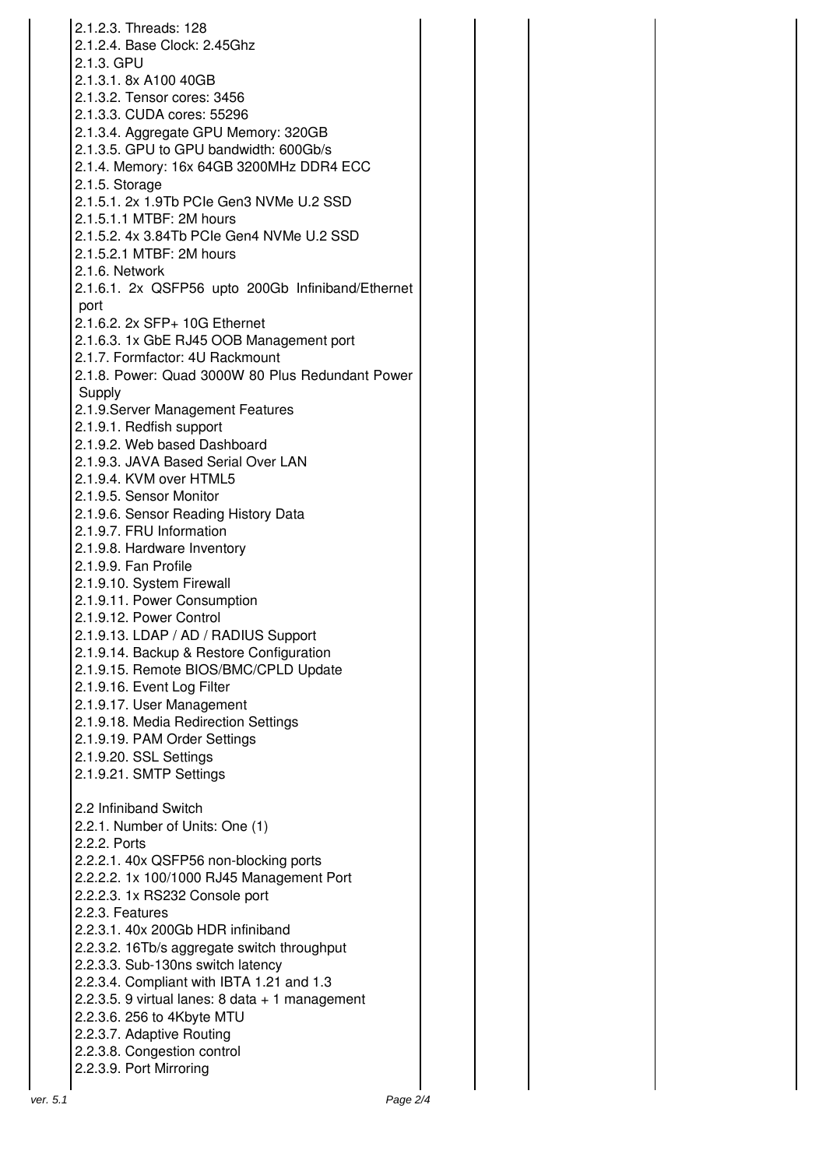| 2.1.2.3. Threads: 128                              |
|----------------------------------------------------|
| 2.1.2.4. Base Clock: 2.45Ghz                       |
| 2.1.3. GPU                                         |
| 2.1.3.1. 8x A100 40GB                              |
| 2.1.3.2. Tensor cores: 3456                        |
| 2.1.3.3. CUDA cores: 55296                         |
| 2.1.3.4. Aggregate GPU Memory: 320GB               |
| 2.1.3.5. GPU to GPU bandwidth: 600Gb/s             |
| 2.1.4. Memory: 16x 64GB 3200MHz DDR4 ECC           |
| 2.1.5. Storage                                     |
| 2.1.5.1. 2x 1.9Tb PCIe Gen3 NVMe U.2 SSD           |
| 2.1.5.1.1 MTBF: 2M hours                           |
|                                                    |
| 2.1.5.2. 4x 3.84Tb PCle Gen4 NVMe U.2 SSD          |
| 2.1.5.2.1 MTBF: 2M hours                           |
| 2.1.6. Network                                     |
| 2.1.6.1. 2x QSFP56 upto 200Gb Infiniband/Ethernet  |
| port                                               |
| 2.1.6.2. 2x SFP+ 10G Ethernet                      |
| 2.1.6.3. 1x GbE RJ45 OOB Management port           |
| 2.1.7. Formfactor: 4U Rackmount                    |
| 2.1.8. Power: Quad 3000W 80 Plus Redundant Power   |
| Supply                                             |
| 2.1.9. Server Management Features                  |
| 2.1.9.1. Redfish support                           |
| 2.1.9.2. Web based Dashboard                       |
| 2.1.9.3. JAVA Based Serial Over LAN                |
| 2.1.9.4. KVM over HTML5                            |
|                                                    |
| 2.1.9.5. Sensor Monitor                            |
| 2.1.9.6. Sensor Reading History Data               |
| 2.1.9.7. FRU Information                           |
| 2.1.9.8. Hardware Inventory                        |
| 2.1.9.9. Fan Profile                               |
| 2.1.9.10. System Firewall                          |
| 2.1.9.11. Power Consumption                        |
| 2.1.9.12. Power Control                            |
| 2.1.9.13. LDAP / AD / RADIUS Support               |
| 2.1.9.14. Backup & Restore Configuration           |
| 2.1.9.15. Remote BIOS/BMC/CPLD Update              |
| 2.1.9.16. Event Log Filter                         |
| 2.1.9.17. User Management                          |
| 2.1.9.18. Media Redirection Settings               |
| 2.1.9.19. PAM Order Settings                       |
| 2.1.9.20. SSL Settings                             |
| 2.1.9.21. SMTP Settings                            |
|                                                    |
| 2.2 Infiniband Switch                              |
| 2.2.1. Number of Units: One (1)                    |
| 2.2.2. Ports                                       |
|                                                    |
| 2.2.2.1. 40x QSFP56 non-blocking ports             |
| 2.2.2.2. 1x 100/1000 RJ45 Management Port          |
| 2.2.2.3. 1x RS232 Console port                     |
| 2.2.3. Features                                    |
| 2.2.3.1. 40x 200Gb HDR infiniband                  |
| 2.2.3.2. 16Tb/s aggregate switch throughput        |
| 2.2.3.3. Sub-130ns switch latency                  |
| 2.2.3.4. Compliant with IBTA 1.21 and 1.3          |
| 2.2.3.5. 9 virtual lanes: $8$ data $+1$ management |
| 2.2.3.6. 256 to 4Kbyte MTU                         |
| 2.2.3.7. Adaptive Routing                          |
| 2.2.3.8. Congestion control                        |
| 2.2.3.9. Port Mirroring                            |
|                                                    |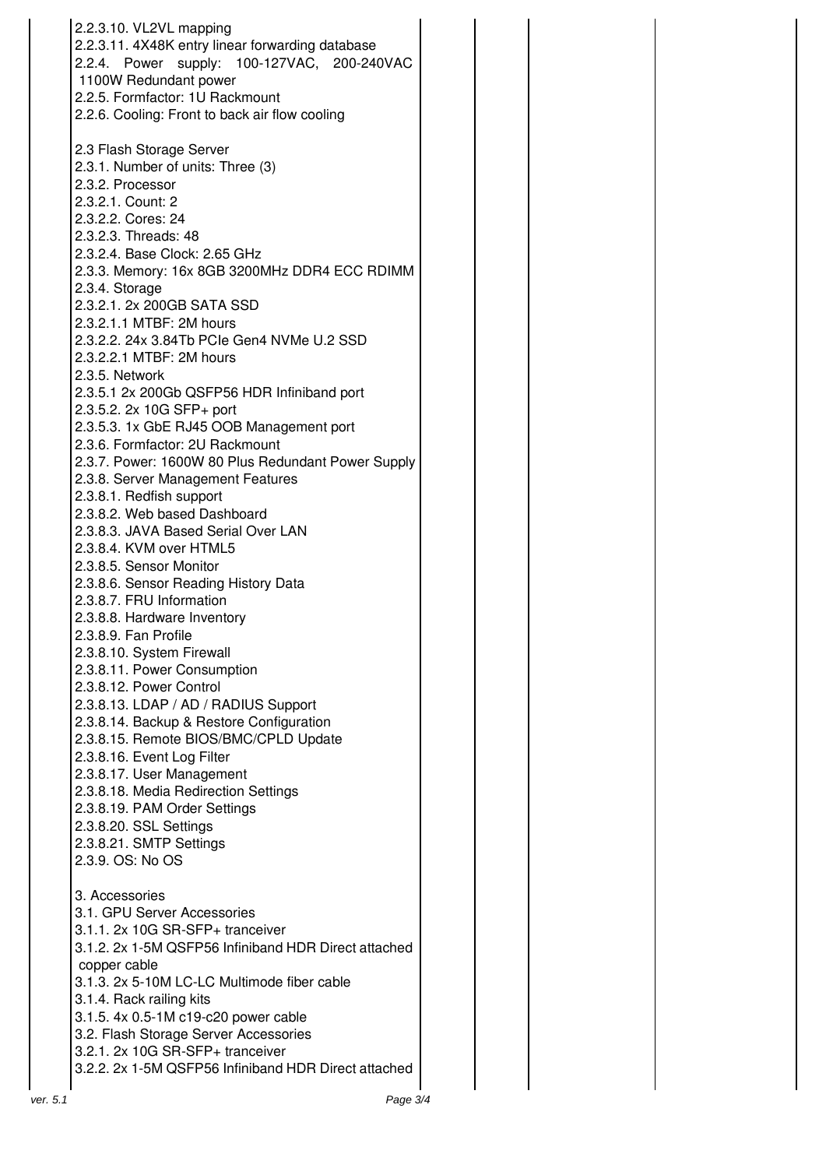|          | 2.2.3.10. VL2VL mapping<br>2.2.3.11. 4X48K entry linear forwarding database<br>2.2.4. Power supply: 100-127VAC, 200-240VAC<br>1100W Redundant power<br>2.2.5. Formfactor: 1U Rackmount<br>2.2.6. Cooling: Front to back air flow cooling |  |
|----------|------------------------------------------------------------------------------------------------------------------------------------------------------------------------------------------------------------------------------------------|--|
|          | 2.3 Flash Storage Server<br>2.3.1. Number of units: Three (3)<br>2.3.2. Processor<br>2.3.2.1. Count: 2<br>2.3.2.2. Cores: 24<br>2.3.2.3. Threads: 48                                                                                     |  |
|          | 2.3.2.4. Base Clock: 2.65 GHz<br>2.3.3. Memory: 16x 8GB 3200MHz DDR4 ECC RDIMM<br>2.3.4. Storage                                                                                                                                         |  |
|          | 2.3.2.1. 2x 200GB SATA SSD<br>2.3.2.1.1 MTBF: 2M hours<br>2.3.2.2. 24x 3.84Tb PCIe Gen4 NVMe U.2 SSD<br>2.3.2.2.1 MTBF: 2M hours                                                                                                         |  |
|          | 2.3.5. Network<br>2.3.5.1 2x 200Gb QSFP56 HDR Infiniband port<br>2.3.5.2. 2x 10G SFP+ port<br>2.3.5.3. 1x GbE RJ45 OOB Management port                                                                                                   |  |
|          | 2.3.6. Formfactor: 2U Rackmount<br>2.3.7. Power: 1600W 80 Plus Redundant Power Supply<br>2.3.8. Server Management Features<br>2.3.8.1. Redfish support                                                                                   |  |
|          | 2.3.8.2. Web based Dashboard<br>2.3.8.3. JAVA Based Serial Over LAN<br>2.3.8.4. KVM over HTML5                                                                                                                                           |  |
|          | 2.3.8.5. Sensor Monitor<br>2.3.8.6. Sensor Reading History Data<br>2.3.8.7. FRU Information<br>2.3.8.8. Hardware Inventory                                                                                                               |  |
|          | 2.3.8.9. Fan Profile<br>2.3.8.10. System Firewall<br>2.3.8.11. Power Consumption                                                                                                                                                         |  |
|          | 2.3.8.12. Power Control<br>2.3.8.13. LDAP / AD / RADIUS Support<br>2.3.8.14. Backup & Restore Configuration                                                                                                                              |  |
|          | 2.3.8.15. Remote BIOS/BMC/CPLD Update<br>2.3.8.16. Event Log Filter<br>2.3.8.17. User Management                                                                                                                                         |  |
|          | 2.3.8.18. Media Redirection Settings<br>2.3.8.19. PAM Order Settings<br>2.3.8.20. SSL Settings                                                                                                                                           |  |
|          | 2.3.8.21. SMTP Settings<br>2.3.9. OS: No OS<br>3. Accessories                                                                                                                                                                            |  |
|          | 3.1. GPU Server Accessories<br>3.1.1. 2x 10G SR-SFP+ tranceiver<br>3.1.2. 2x 1-5M QSFP56 Infiniband HDR Direct attached                                                                                                                  |  |
|          | copper cable<br>3.1.3. 2x 5-10M LC-LC Multimode fiber cable<br>3.1.4. Rack railing kits                                                                                                                                                  |  |
|          | 3.1.5. 4x 0.5-1M c19-c20 power cable<br>3.2. Flash Storage Server Accessories<br>3.2.1. 2x 10G SR-SFP+ tranceiver                                                                                                                        |  |
| ver. 5.1 | 3.2.2. 2x 1-5M QSFP56 Infiniband HDR Direct attached<br>Page 3/4                                                                                                                                                                         |  |